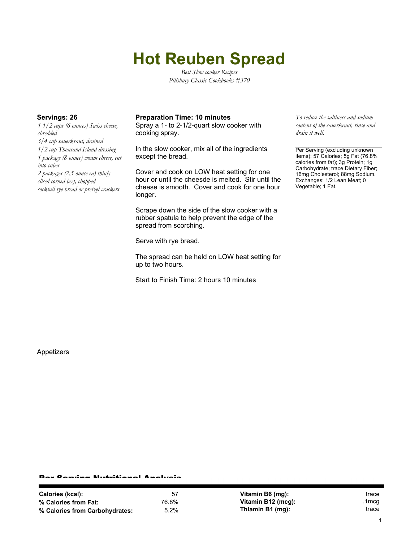# **Hot Reuben Spread**

*Best Slow cooker Recipes Pillsbury Classic Cookbooks #370*

*1 1/2 cups (6 ounces) Swiss cheese, shredded 3/4 cup sauerkraut, drained 1/2 cup Thousand Island dressing 1 package (8 ounce) cream cheese, cut into cubes 2 packages (2.5 ounce ea) thinly sliced corned beef, chopped cocktail rye bread or pretzel crackers*

### **Servings: 26 Preparation Time: 10 minutes** *To reduce the saltiness and sodium*

Spray a 1- to 2-1/2-quart slow cooker with cooking spray.

In the slow cooker, mix all of the ingredients except the bread.

Cover and cook on LOW heat setting for one hour or until the cheesde is melted. Stir until the cheese is smooth. Cover and cook for one hour longer.

Scrape down the side of the slow cooker with a rubber spatula to help prevent the edge of the spread from scorching.

Serve with rye bread.

The spread can be held on LOW heat setting for up to two hours.

Start to Finish Time: 2 hours 10 minutes

*content of the sauerkraut, rinse and drain it well.*

Per Serving (excluding unknown items): 57 Calories; 5g Fat (76.8% calories from fat); 3g Protein; 1g Carbohydrate; trace Dietary Fiber; 16mg Cholesterol; 88mg Sodium. Exchanges: 1/2 Lean Meat; 0 Vegetable; 1 Fat.

Appetizers

#### Per Serving Nutritional Analysis

| Calories (kcal):               | 57    |
|--------------------------------|-------|
| % Calories from Fat:           | 76.8% |
| % Calories from Carbohydrates: | 5.2%  |

**Vitamin B6 (mg):** trace **Vitamin B12 (mcg):** .1mcg **Thiamin B1 (mg):** trace